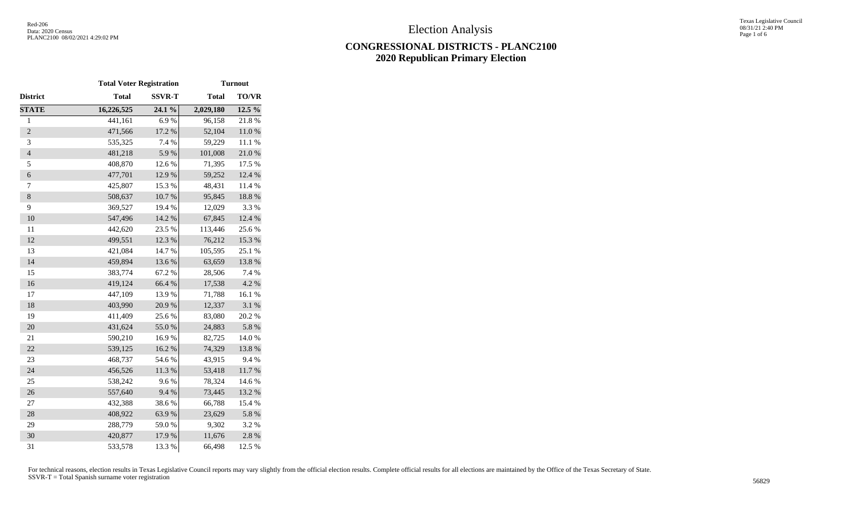# **CONGRESSIONAL DISTRICTS - PLANC2100 2020 Republican Primary Election**

|                  | <b>Total Voter Registration</b> |               | <b>Turnout</b> |            |  |  |  |  |
|------------------|---------------------------------|---------------|----------------|------------|--|--|--|--|
| District         | <b>Total</b>                    | <b>SSVR-T</b> | <b>Total</b>   | TO/VR      |  |  |  |  |
| <b>STATE</b>     | 16,226,525                      | 24.1 %        | 2,029,180      | 12.5 %     |  |  |  |  |
| $\mathbf{1}$     | 441,161                         | 6.9%          | 96,158         | 21.8%      |  |  |  |  |
| $\overline{2}$   | 471,566                         | 17.2 %        | 52,104         | $11.0\ \%$ |  |  |  |  |
| 3                | 535,325                         | 7.4 %         | 59,229         | 11.1 %     |  |  |  |  |
| $\overline{4}$   | 481,218                         | 5.9%          | 101,008        | $21.0\ \%$ |  |  |  |  |
| 5                | 408,870                         | 12.6 %        | 71,395         | 17.5 %     |  |  |  |  |
| $\boldsymbol{6}$ | 477,701                         | 12.9 %        | 59,252         | 12.4 %     |  |  |  |  |
| $\tau$           | 425,807                         | 15.3 %        | 48,431         | 11.4 %     |  |  |  |  |
| $\,8\,$          | 508,637                         | 10.7%         | 95,845         | 18.8 %     |  |  |  |  |
| 9                | 369,527                         | 19.4 %        | 12,029         | 3.3 %      |  |  |  |  |
| 10               | 547,496                         | 14.2 %        | 67,845         | 12.4 %     |  |  |  |  |
| 11               | 442,620                         | 23.5 %        | 113,446        | 25.6%      |  |  |  |  |
| 12               | 499,551                         | 12.3 %        | 76,212         | 15.3 %     |  |  |  |  |
| 13               | 421,084                         | 14.7%         | 105,595        | 25.1 %     |  |  |  |  |
| 14               | 459,894                         | 13.6%         | 63,659         | 13.8%      |  |  |  |  |
| 15               | 383,774                         | 67.2 %        | 28,506         | 7.4 %      |  |  |  |  |
| 16               | 419,124                         | 66.4%         | 17,538         | 4.2 %      |  |  |  |  |
| 17               | 447,109                         | 13.9%         | 71,788         | 16.1%      |  |  |  |  |
| 18               | 403,990                         | 20.9%         | 12,337         | 3.1 %      |  |  |  |  |
| 19               | 411,409                         | 25.6 %        | 83,080         | 20.2 %     |  |  |  |  |
| 20               | 431,624                         | 55.0%         | 24,883         | 5.8%       |  |  |  |  |
| 21               | 590,210                         | 16.9%         | 82,725         | 14.0%      |  |  |  |  |
| 22               | 539,125                         | 16.2%         | 74,329         | 13.8 %     |  |  |  |  |
| 23               | 468,737                         | 54.6%         | 43,915         | 9.4%       |  |  |  |  |
| 24               | 456,526                         | 11.3%         | 53,418         | $11.7\ \%$ |  |  |  |  |
| 25               | 538,242                         | 9.6%          | 78,324         | 14.6 %     |  |  |  |  |
| 26               | 557,640                         | 9.4%          | 73,445         | 13.2 %     |  |  |  |  |
| 27               | 432,388                         | 38.6%         | 66,788         | 15.4 %     |  |  |  |  |
| 28               | 408,922                         | 63.9%         | 23,629         | 5.8%       |  |  |  |  |
| 29               | 288,779                         | 59.0%         | 9,302          | 3.2 %      |  |  |  |  |
| 30               | 420,877                         | 17.9 %        | 11,676         | 2.8 %      |  |  |  |  |
| 31               | 533,578                         | 13.3 %        | 66,498         | 12.5 %     |  |  |  |  |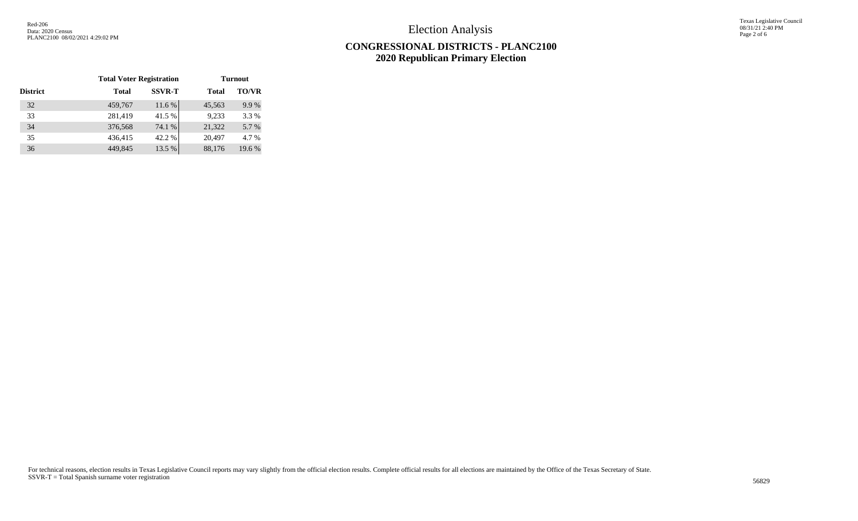Election Analysis

Texas Legislative Council 08/31/21 2:40 PM Page 2 of 6

### **CONGRESSIONAL DISTRICTS - PLANC2100 2020 Republican Primary Election**

|                 | <b>Total Voter Registration</b> |               | <b>Turnout</b> |              |  |  |  |  |
|-----------------|---------------------------------|---------------|----------------|--------------|--|--|--|--|
| <b>District</b> | <b>Total</b>                    | <b>SSVR-T</b> | <b>Total</b>   | <b>TO/VR</b> |  |  |  |  |
| 32              | 459,767                         | 11.6 %        | 45,563         | 9.9%         |  |  |  |  |
| 33              | 281,419                         | 41.5 %        | 9.233          | 3.3 %        |  |  |  |  |
| 34              | 376,568                         | 74.1 %        | 21,322         | 5.7 %        |  |  |  |  |
| 35              | 436,415                         | 42.2 %        | 20,497         | 4.7 %        |  |  |  |  |
| 36              | 449,845                         | 13.5 %        | 88,176         | 19.6 %       |  |  |  |  |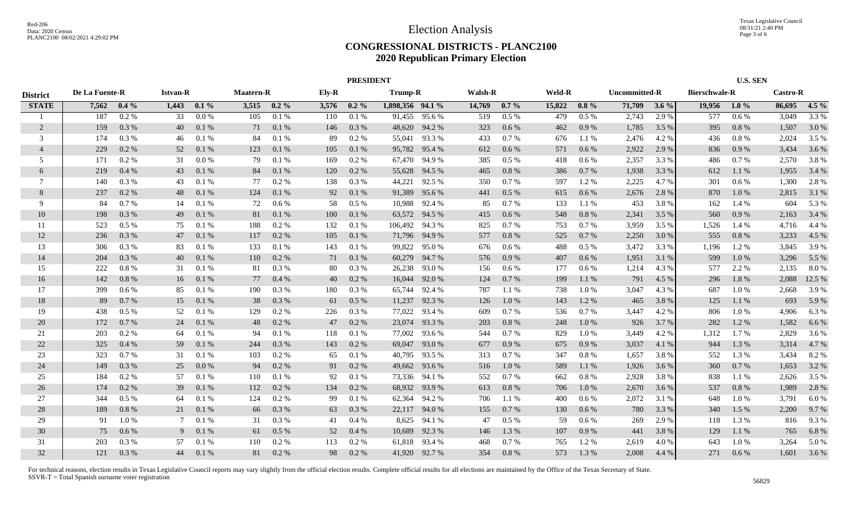# **CONGRESSIONAL DISTRICTS - PLANC2100 2020 Republican Primary Election**

|                 |                                                                                  |           |       |                |       |               |       |               |                  | <b>PRESIDENT</b>     |        |                 |        |         |        |         | <b>U.S. SEN</b> |         |        |         |
|-----------------|----------------------------------------------------------------------------------|-----------|-------|----------------|-------|---------------|-------|---------------|------------------|----------------------|--------|-----------------|--------|---------|--------|---------|-----------------|---------|--------|---------|
| <b>District</b> | De La Fuente-R<br><b>Istvan-R</b><br><b>Maatern-R</b><br>Ely-R<br><b>Trump-R</b> |           |       | <b>Walsh-R</b> |       | <b>Weld-R</b> |       | Uncommitted-R |                  | <b>Bierschwale-R</b> |        | <b>Castro-R</b> |        |         |        |         |                 |         |        |         |
| <b>STATE</b>    | 7,562                                                                            | $0.4\%$   | 1,443 | $0.1\%$        | 3,515 | $0.2\%$       | 3,576 | $0.2\%$       | 1,898,356 94.1 % |                      | 14,769 | $0.7\%$         | 15,822 | $0.8\%$ | 71,709 | $3.6\%$ | 19,956          | $1.0\%$ | 86,695 | $4.5\%$ |
|                 | 187                                                                              | $0.2\%$   | 33    | $0.0\%$        | 105   | 0.1%          | 110   | 0.1%          |                  | 91,455 95.6 %        | 519    | 0.5%            | 479    | $0.5\%$ | 2,743  | 2.9 %   | 577             | $0.6\%$ | 3,049  | 3.3 %   |
| 2               | 159                                                                              | 0.3%      | 40    | 0.1 %          | 71    | 0.1%          | 146   | 0.3%          | 48,620           | 94.2 %               | 323    | 0.6 %           | 462    | 0.9%    | 1,785  | 3.5 %   | 395             | 0.8 %   | 1,507  | 3.0 %   |
| 3               | 174                                                                              | 0.3%      | 46    | 0.1%           | 84    | 0.1%          | 89    | $0.2 \%$      | 55,041           | 93.3 %               | 433    | 0.7%            | 676    | 1.1 %   | 2,476  | 4.2 %   | 436             | 0.8 %   | 2,024  | 3.5 %   |
| $\overline{4}$  | 229                                                                              | 0.2%      | 52    | 0.1 %          | 123   | 0.1%          | 105   | 0.1 %         | 95,782           | 95.4 %               | 612    | $0.6\,\%$       | 571    | 0.6%    | 2,922  | 2.9 %   | 836             | 0.9%    | 3,434  | 3.6 %   |
| 5               | 171                                                                              | 0.2 %     | 31    | $0.0\,\%$      | -79   | 0.1%          | 169   | 0.2 %         | 67,470           | 94.9%                | 385    | 0.5%            | 418    | 0.6 %   | 2,357  | 3.3 %   | 486             | 0.7%    | 2,570  | 3.8%    |
| 6               | 219                                                                              | 0.4%      | 43    | 0.1 %          | 84    | 0.1%          | 120   | 0.2 %         |                  | 55,628 94.5 %        | 465    | $0.8\ \%$       | 386    | 0.7 %   | 1,938  | 3.3%    | 612             | 1.1 %   | 1,955  | 3.4 %   |
| 7               | 140                                                                              | 0.3 %     | 43    | 0.1%           | 77    | 0.2 %         | 138   | 0.3%          | 44,221           | 92.5 %               | 350    | 0.7 %           | 597    | 1.2%    | 2,225  | 4.7 %   | 301             | $0.6\%$ | 1,300  | 2.8%    |
| 8               | 237                                                                              | 0.2 %     | 48    | 0.1%           | 124   | 0.1%          | 92    | 0.1 %         | 91,389           | 95.6 %               | 441    | $0.5\ \%$       | 615    | 0.6 %   | 2,676  | 2.8 %   | 870             | 1.0%    | 2,815  | 3.1 %   |
| 9               | -84                                                                              | 0.7%      | 14    | 0.1%           | 72    | 0.6 %         | 58    | 0.5%          | 10,988           | 92.4 %               | 85     | 0.7 %           | 133    | 1.1%    | 453    | 3.8 %   | 162             | 1.4 %   | 604    | 5.3 %   |
| 10              | 198                                                                              | 0.3 %     | 49    | 0.1%           | 81    | 0.1%          | 100   | 0.1 %         | 63,572           | 94.5 %               | 415    | 0.6 %           | 548    | 0.8%    | 2,341  | 3.5 %   | 560             | 0.9%    | 2,163  | 3.4 %   |
| -11             | 523                                                                              | $0.5\%$   | 75    | 0.1%           | 188   | 0.2 %         | 132   | 0.1%          | 106,492          | 94.3 %               | 825    | 0.7 %           | 753    | 0.7%    | 3,959  | 3.5 %   | 1,526           | 1.4 %   | 4,716  | 4.4 %   |
| 12              | 236                                                                              | 0.3%      | 47    | 0.1%           | 117   | 0.2 %         | 105   | 0.1%          |                  | 71,796 94.9 %        | 577    | $0.8\ \%$       | 525    | 0.7%    | 2,250  | 3.0 %   | 555             | 0.8%    | 3,233  | 4.5 %   |
| 13              | 306                                                                              | 0.3 %     | 83    | 0.1%           | 133   | 0.1%          | 143   | 0.1%          |                  | 99,822 95.0 %        | 676    | 0.6 %           | 488    | $0.5\%$ | 3,472  | 3.3 %   | 1,196           | 1.2%    | 3,845  | 3.9%    |
| 14              | 204                                                                              | 0.3%      | 40    | 0.1%           | 110   | $0.2\%$       | 71    | 0.1%          |                  | 60,279 94.7 %        | 576    | 0.9%            | 407    | 0.6%    | 1,951  | 3.1 %   | 599             | 1.0%    | 3,296  | 5.5 %   |
| 15              | 222                                                                              | $0.8\ \%$ | 31    | 0.1%           | 81    | 0.3%          | 80    | 0.3%          |                  | 26,238 93.0 %        | 156    | $0.6\,\%$       | 177    | 0.6 %   | 1,214  | 4.3 %   | 577             | 2.2 %   | 2,135  | 8.0%    |
| 16              | 142                                                                              | 0.8%      | 16    | 0.1%           | 77    | 0.4%          | 40    | 0.2 %         |                  | 16,044 92.0 %        | 124    | 0.7 %           | 199    | 1.1 %   | 791    | 4.5 %   | 296             | 1.8%    | 2,088  | 12.5 %  |
| 17              | 399                                                                              | 0.6 %     | 85    | 0.1%           | 190   | 0.3%          | 180   | 0.3%          | 65,744           | 92.4 %               | 787    | 1.1%            | 738    | $1.0\%$ | 3,047  | 4.3 %   | 687             | 1.0%    | 2,668  | 3.9%    |
| 18              | 89                                                                               | 0.7%      | 15    | 0.1%           | 38    | 0.3%          | 61    | $0.5\%$       | 11,237           | 92.3 %               | 126    | 1.0%            | 143    | 1.2%    | 465    | 3.8%    | 125             | 1.1 %   | 693    | 5.9%    |
| 19              | 438                                                                              | $0.5\%$   | 52    | 0.1 %          | 129   | 0.2 %         | 226   | 0.3%          | 77,022           | 93.4 %               | 609    | 0.7%            | 536    | 0.7%    | 3,447  | 4.2 %   | 806             | 1.0%    | 4,906  | 6.3%    |
| 20              | 172                                                                              | 0.7%      | 24    | 0.1%           | 48    | 0.2 %         | 47    | 0.2 %         | 23,074           | 93.3 %               | 203    | 0.8%            | 248    | 1.0%    | 926    | 3.7 %   | 282             | 1.2%    | 1,582  | 6.6 %   |
| 21              | 203                                                                              | 0.2 %     | 64    | 0.1%           | -94   | 0.1%          | 118   | 0.1%          | 77,002           | 93.6 %               | 544    | 0.7%            | 829    | 1.0%    | 3,449  | 4.2 %   | 1,312           | 1.7 %   | 2,829  | 3.6 %   |
| 22              | 325                                                                              | 0.4%      | 59    | 0.1 %          | 244   | 0.3 %         | 143   | 0.2 %         | 69,047           | 93.0 %               | 677    | 0.9 %           | 675    | 0.9%    | 3,037  | 4.1 %   | 944             | 1.3%    | 3,314  | 4.7%    |
| 23              | 323                                                                              | 0.7%      | 31    | 0.1%           | 103   | 0.2 %         | 65    | 0.1%          |                  | 40,795 93.5 %        | 313    | 0.7 %           | 347    | 0.8%    | 1,657  | 3.8%    | 552             | 1.3 %   | 3,434  | 8.2%    |
| 24              | 149                                                                              | 0.3 %     | 25    | $0.0\,\%$      | 94    | 0.2 %         | 91    | 0.2 %         | 49,662           | 93.6 %               | 516    | $1.0\ \%$       | 589    | 1.1 %   | 1,926  | 3.6 %   | 360             | 0.7%    | 1,653  | 3.2 %   |
| 25              | 184                                                                              | 0.2 %     | 57    | 0.1%           | 110   | 0.1%          | 92    | 0.1%          |                  | 73,336 94.1 %        | 552    | 0.7 %           | 662    | 0.8 %   | 2,928  | 3.8%    | 838             | 1.1 %   | 2,626  | 3.5 %   |
| 26              | 174                                                                              | 0.2%      | 39    | 0.1%           | 112   | 0.2 %         | 134   | 0.2 %         |                  | 68,932 93.9 %        | 613    | 0.8%            | 706    | 1.0%    | 2,670  | 3.6 %   | 537             | 0.8%    | 1,989  | 2.8%    |
| 27              | 344                                                                              | $0.5\%$   | 64    | 0.1%           | 124   | 0.2 %         | 99    | 0.1%          | 62,364           | 94.2 %               | 706    | 1.1 %           | 400    | 0.6 %   | 2,072  | 3.1 %   | 648             | 1.0%    | 3,791  | 6.0%    |
| 28              | 189                                                                              | 0.8%      | 21    | 0.1%           | 66    | 0.3 %         | 63    | 0.3 %         | 22,117           | 94.0 %               | 155    | 0.7 %           | 130    | 0.6 %   | 780    | 3.3 %   | 340             | 1.5 %   | 2,200  | 9.7 %   |
| 29              | -91                                                                              | 1.0%      | 7     | 0.1%           | 31    | $0.3\%$       | 41    | 0.4%          | 8,625            | 94.1 %               | 47     | $0.5\%$         | 59     | 0.6 %   | 269    | 2.9 %   | 118             | 1.3 %   | 816    | 9.3%    |
| 30              | 75                                                                               | 0.6%      | 9     | 0.1 %          | 61    | 0.5%          | 52    | 0.4%          | 10,689           | 92.3 %               | 146    | 1.3 %           | 107    | 0.9 %   | 441    | 3.8 %   | 129             | 1.1 %   | 765    | 6.8%    |
| 31              | 203                                                                              | 0.3%      | 57    | 0.1%           | 110   | 0.2%          | 113   | 0.2%          |                  | 61,818 93.4 %        | 468    | 0.7%            | 765    | 1.2%    | 2,619  | 4.0%    | 643             | 1.0%    | 3,264  | 5.0%    |
| 32              | 121                                                                              | $0.3\%$   | 44    | 0.1%           | 81    | $0.2\%$       | 98    | 0.2 %         |                  | 41,920 92.7 %        | 354    | 0.8%            | 573    | 1.3 %   | 2,008  | 4.4 %   | 271             | $0.6\%$ | 1.601  | 3.6 %   |
|                 |                                                                                  |           |       |                |       |               |       |               |                  |                      |        |                 |        |         |        |         |                 |         |        |         |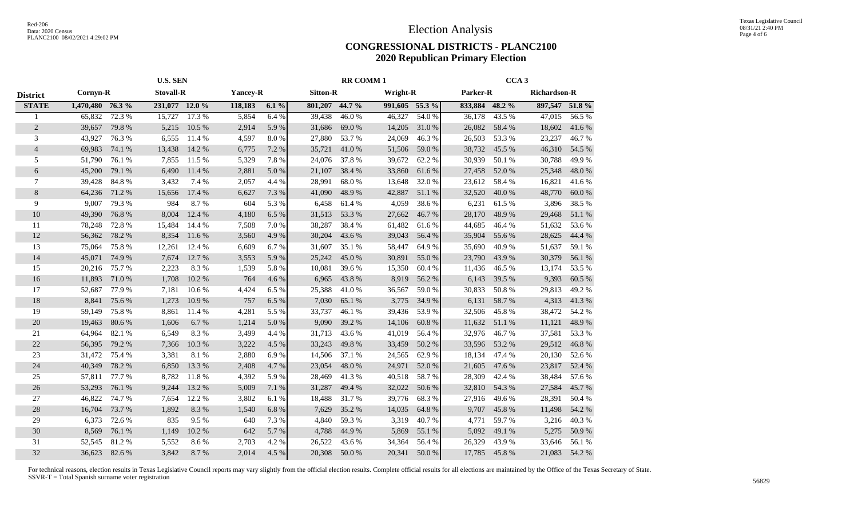### **CONGRESSIONAL DISTRICTS - PLANC2100 2020 Republican Primary Election**

|                 |                  |        | <b>U.S. SEN</b>                     |        |         |           |                 | <b>RR COMM1</b> |                |        |          | CCA <sub>3</sub>    |                |            |
|-----------------|------------------|--------|-------------------------------------|--------|---------|-----------|-----------------|-----------------|----------------|--------|----------|---------------------|----------------|------------|
| <b>District</b> | Cornyn-R         |        | <b>Stovall-R</b><br><b>Yancey-R</b> |        |         |           | <b>Sitton-R</b> |                 | Wright-R       |        | Parker-R | <b>Richardson-R</b> |                |            |
| <b>STATE</b>    | 1,470,480 76.3 % |        | 231,077 12.0 %                      |        | 118,183 | 6.1%      | 801,207         | 44.7 %          | 991,605 55.3 % |        | 833,884  | 48.2 %              | 897,547 51.8 % |            |
|                 | 65,832           | 72.3 % | 15,727                              | 17.3 % | 5,854   | 6.4%      | 39,438          | 46.0%           | 46,327         | 54.0%  | 36,178   | 43.5 %              | 47,015         | 56.5%      |
| $\overline{2}$  | 39,657           | 79.8%  | 5,215                               | 10.5 % | 2,914   | 5.9%      | 31,686          | 69.0%           | 14,205         | 31.0%  | 26,082   | 58.4%               | 18,602         | 41.6%      |
| 3               | 43,927           | 76.3%  | 6,555                               | 11.4 % | 4,597   | $8.0\ \%$ | 27,880          | 53.7%           | 24,069         | 46.3%  | 26,503   | 53.3%               | 23,237         | 46.7%      |
| $\overline{4}$  | 69,983           | 74.1 % | 13,438                              | 14.2 % | 6,775   | 7.2 %     | 35,721          | 41.0%           | 51,506         | 59.0%  | 38,732   | 45.5 %              | 46,310         | 54.5 %     |
| 5               | 51,790           | 76.1 % | 7,855                               | 11.5 % | 5,329   | 7.8 %     | 24,076          | 37.8%           | 39,672         | 62.2%  | 30,939   | 50.1 %              | 30,788         | 49.9%      |
| 6               | 45,200           | 79.1 % | 6,490                               | 11.4 % | 2,881   | 5.0%      | 21,107          | 38.4 %          | 33,860         | 61.6%  | 27,458   | 52.0%               | 25,348         | 48.0%      |
| $\overline{7}$  | 39,428           | 84.8%  | 3,432                               | 7.4 %  | 2,057   | 4.4 %     | 28,991          | 68.0%           | 13,648         | 32.0%  | 23,612   | 58.4%               | 16,821         | 41.6%      |
| 8               | 64,236           | 71.2 % | 15,656                              | 17.4 % | 6,627   | 7.3 %     | 41,090          | 48.9%           | 42,887         | 51.1 % | 32,520   | 40.0%               | 48,770         | $60.0\ \%$ |
| 9               | 9,007            | 79.3%  | 984                                 | 8.7%   | 604     | 5.3 %     | 6,458           | 61.4%           | 4,059          | 38.6%  | 6,231    | 61.5%               | 3,896          | 38.5%      |
| 10              | 49,390           | 76.8%  | 8,004                               | 12.4 % | 4,180   | 6.5%      | 31,513          | 53.3 %          | 27,662         | 46.7%  | 28,170   | 48.9%               | 29,468         | 51.1 %     |
| 11              | 78,248           | 72.8%  | 15,484                              | 14.4 % | 7,508   | 7.0%      | 38,287          | 38.4 %          | 61,482         | 61.6%  | 44,685   | 46.4 %              | 51,632         | 53.6 %     |
| 12              | 56,362           | 78.2%  | 8,354                               | 11.6 % | 3,560   | 4.9%      | 30,204          | 43.6%           | 39,043         | 56.4 % | 35,904   | 55.6 %              | 28,625         | 44.4 %     |
| 13              | 75,064           | 75.8%  | 12,261                              | 12.4 % | 6,609   | 6.7%      | 31,607          | 35.1 %          | 58,447         | 64.9%  | 35,690   | 40.9%               | 51,637         | 59.1 %     |
| 14              | 45,071           | 74.9%  | 7,674                               | 12.7 % | 3,553   | 5.9%      | 25,242          | 45.0%           | 30,891         | 55.0%  | 23,790   | 43.9%               | 30,379         | 56.1 %     |
| 15              | 20,216           | 75.7%  | 2,223                               | 8.3%   | 1,539   | 5.8 %     | 10,081          | 39.6%           | 15,350         | 60.4%  | 11,436   | 46.5%               | 13,174         | 53.5%      |
| 16              | 11,893           | 71.0%  | 1,708                               | 10.2 % | 764     | 4.6 %     | 6,965           | 43.8%           | 8,919          | 56.2%  | 6,143    | 39.5 %              | 9,393          | 60.5 %     |
| 17              | 52,687           | 77.9 % | 7,181                               | 10.6 % | 4,424   | 6.5%      | 25,388          | 41.0%           | 36,567         | 59.0%  | 30,833   | 50.8%               | 29,813         | 49.2%      |
| 18              | 8,841            | 75.6%  | 1,273                               | 10.9%  | 757     | 6.5%      | 7,030           | 65.1 %          | 3,775          | 34.9%  | 6,131    | 58.7%               | 4,313          | 41.3%      |
| 19              | 59,149           | 75.8%  | 8,861                               | 11.4 % | 4,281   | 5.5 %     | 33,737          | 46.1%           | 39,436         | 53.9%  | 32,506   | 45.8%               | 38,472         | 54.2 %     |
| 20              | 19,463           | 80.6%  | 1,606                               | 6.7%   | 1,214   | 5.0%      | 9,090           | 39.2 %          | 14,106         | 60.8%  | 11,632   | 51.1%               | 11,121         | 48.9%      |
| 21              | 64,964           | 82.1 % | 6,549                               | 8.3%   | 3,499   | 4.4 %     | 31,713          | 43.6%           | 41,019         | 56.4 % | 32,976   | 46.7%               | 37,581         | 53.3%      |
| 22              | 56,395           | 79.2 % | 7,366                               | 10.3%  | 3,222   | 4.5 %     | 33,243          | 49.8%           | 33,459         | 50.2%  | 33,596   | 53.2 %              | 29,512         | 46.8%      |
| 23              | 31,472           | 75.4 % | 3,381                               | 8.1%   | 2,880   | 6.9%      | 14,506          | 37.1 %          | 24,565         | 62.9%  | 18,134   | 47.4 %              | 20,130         | 52.6%      |
| 24              | 40,349           | 78.2 % | 6,850                               | 13.3 % | 2,408   | 4.7%      | 23,054          | 48.0%           | 24,971         | 52.0%  | 21,605   | 47.6 %              | 23,817         | 52.4 %     |
| 25              | 57,811           | 77.7 % | 8,782                               | 11.8%  | 4,392   | 5.9%      | 28,469          | 41.3%           | 40,518         | 58.7%  | 28,309   | 42.4 %              | 38,484         | 57.6%      |
| 26              | 53,293           | 76.1 % | 9,244                               | 13.2 % | 5,009   | 7.1 %     | 31,287          | 49.4 %          | 32,022         | 50.6%  | 32,810   | 54.3 %              | 27,584         | 45.7%      |
| 27              | 46,822           | 74.7%  | 7,654                               | 12.2 % | 3,802   | 6.1%      | 18,488          | 31.7%           | 39,776         | 68.3%  | 27,916   | 49.6%               | 28,391         | 50.4 %     |
| 28              | 16,704           | 73.7 % | 1,892                               | 8.3%   | 1,540   | 6.8%      | 7,629           | 35.2 %          | 14,035         | 64.8%  | 9,707    | 45.8%               | 11,498         | 54.2 %     |
| 29              | 6,373            | 72.6 % | 835                                 | 9.5%   | 640     | 7.3 %     | 4,840           | 59.3%           | 3,319          | 40.7%  | 4,771    | 59.7%               | 3,216          | 40.3 %     |
| 30              | 8,569            | 76.1 % | 1,149                               | 10.2 % | 642     | 5.7%      | 4,788           | 44.9%           | 5,869          | 55.1 % | 5,092    | 49.1 %              | 5,275          | 50.9%      |
| 31              | 52,545           | 81.2%  | 5,552                               | 8.6%   | 2,703   | 4.2%      | 26,522          | 43.6%           | 34,364         | 56.4%  | 26,329   | 43.9%               | 33,646         | 56.1%      |
| 32              | 36,623           | 82.6 % | 3,842                               | 8.7%   | 2,014   | 4.5 %     | 20,308          | 50.0%           | 20,341         | 50.0%  | 17,785   | 45.8%               | 21,083         | 54.2 %     |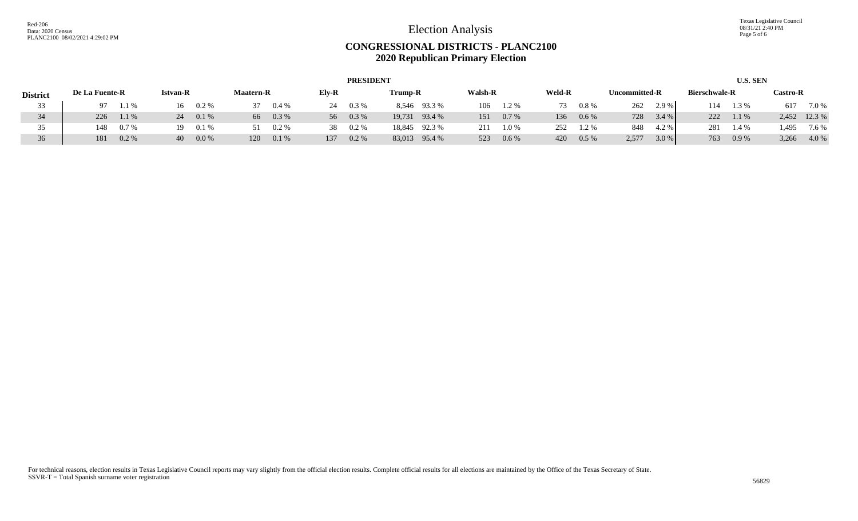Election Analysis

Texas Legislative Council 08/31/21 2:40 PM Page 5 of 6

### **CONGRESSIONAL DISTRICTS - PLANC2100 2020 Republican Primary Election**

|                 | <b>PRESIDENT</b>                                      |         |          |         |     |         |                |          |               |              |                      |         |                      |         | U.S. SEN        |       |     |       |       |              |
|-----------------|-------------------------------------------------------|---------|----------|---------|-----|---------|----------------|----------|---------------|--------------|----------------------|---------|----------------------|---------|-----------------|-------|-----|-------|-------|--------------|
| <b>District</b> | De La Fuente-R<br><b>Maatern-R</b><br><b>Istvan-R</b> |         | $El$ v-R | Trump-R |     |         | <b>Walsh-R</b> |          | Weld-R        |              | <b>Uncommitted-R</b> |         | <b>Bierschwale-R</b> |         | <b>Castro-R</b> |       |     |       |       |              |
| 33              | 97                                                    | 1.1 %   | 16       | $0.2\%$ | 37  | $0.4\%$ |                | 0.3%     |               | 8,546 93.3 % | 106                  | 1.2%    | 73.                  | $0.8\%$ | 262             | 2.9 % | 114 | 1.3 % | 617   | 7.0 %        |
| 34              | 226                                                   | $1.1\%$ | 24       | $0.1\%$ | 66  | $0.3\%$ |                | 56 0.3 % | 19,731 93.4 % |              | 151                  | $0.7\%$ | 136                  | $0.6\%$ | 728             | 3.4%  | 222 | 1.1 % |       | 2,452 12.3 % |
| 35              | 148                                                   | $0.7\%$ | 19.      | 0.1%    |     | $0.2\%$ | 38             | 0.2 %    | 18,845 92.3 % |              | 211                  | 1.0%    | 252                  | 1.2 %   | 848             | 4.2 % | 281 | 1.4%  | .495  | 7.6 %        |
| 36              | 181                                                   | $0.2\%$ | 40       | $0.0\%$ | 120 | 0.1%    | 137            | 0.2 %    | 83,013 95.4 % |              | 523                  | 0.6 %   | 420                  | $0.5\%$ | 2,577           | 3.0%  | 763 | 0.9%  | 3,266 | 4.0 %        |